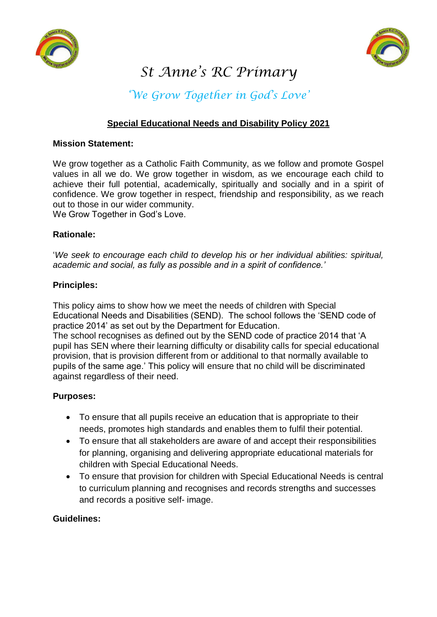



# *St Anne's RC Primary*

# *'We Grow Together in God's Love'*

# **Special Educational Needs and Disability Policy 2021**

#### **Mission Statement:**

We grow together as a Catholic Faith Community, as we follow and promote Gospel values in all we do. We grow together in wisdom, as we encourage each child to achieve their full potential, academically, spiritually and socially and in a spirit of confidence. We grow together in respect, friendship and responsibility, as we reach out to those in our wider community. We Grow Together in God's Love.

#### **Rationale:**

'*We seek to encourage each child to develop his or her individual abilities: spiritual, academic and social, as fully as possible and in a spirit of confidence.'* 

#### **Principles:**

This policy aims to show how we meet the needs of children with Special Educational Needs and Disabilities (SEND). The school follows the 'SEND code of practice 2014' as set out by the Department for Education.

The school recognises as defined out by the SEND code of practice 2014 that 'A pupil has SEN where their learning difficulty or disability calls for special educational provision, that is provision different from or additional to that normally available to pupils of the same age.' This policy will ensure that no child will be discriminated against regardless of their need.

## **Purposes:**

- To ensure that all pupils receive an education that is appropriate to their needs, promotes high standards and enables them to fulfil their potential.
- To ensure that all stakeholders are aware of and accept their responsibilities for planning, organising and delivering appropriate educational materials for children with Special Educational Needs.
- To ensure that provision for children with Special Educational Needs is central to curriculum planning and recognises and records strengths and successes and records a positive self- image.

## **Guidelines:**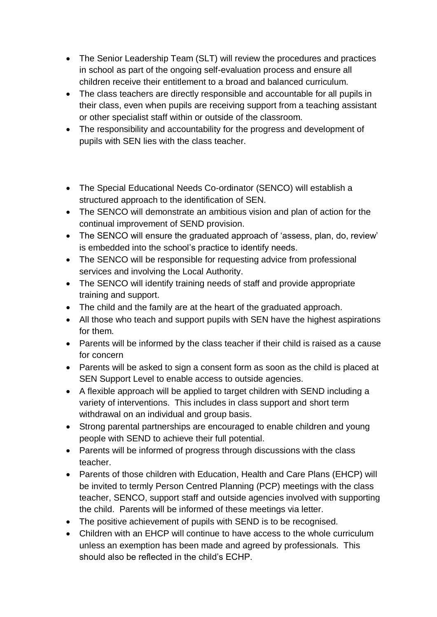- The Senior Leadership Team (SLT) will review the procedures and practices in school as part of the ongoing self-evaluation process and ensure all children receive their entitlement to a broad and balanced curriculum.
- The class teachers are directly responsible and accountable for all pupils in their class, even when pupils are receiving support from a teaching assistant or other specialist staff within or outside of the classroom.
- The responsibility and accountability for the progress and development of pupils with SEN lies with the class teacher.
- The Special Educational Needs Co-ordinator (SENCO) will establish a structured approach to the identification of SEN.
- The SENCO will demonstrate an ambitious vision and plan of action for the continual improvement of SEND provision.
- The SENCO will ensure the graduated approach of 'assess, plan, do, review' is embedded into the school's practice to identify needs.
- The SENCO will be responsible for requesting advice from professional services and involving the Local Authority.
- The SENCO will identify training needs of staff and provide appropriate training and support.
- The child and the family are at the heart of the graduated approach.
- All those who teach and support pupils with SEN have the highest aspirations for them.
- Parents will be informed by the class teacher if their child is raised as a cause for concern
- Parents will be asked to sign a consent form as soon as the child is placed at SEN Support Level to enable access to outside agencies.
- A flexible approach will be applied to target children with SEND including a variety of interventions. This includes in class support and short term withdrawal on an individual and group basis.
- Strong parental partnerships are encouraged to enable children and young people with SEND to achieve their full potential.
- Parents will be informed of progress through discussions with the class teacher.
- Parents of those children with Education, Health and Care Plans (EHCP) will be invited to termly Person Centred Planning (PCP) meetings with the class teacher, SENCO, support staff and outside agencies involved with supporting the child. Parents will be informed of these meetings via letter.
- The positive achievement of pupils with SEND is to be recognised.
- Children with an EHCP will continue to have access to the whole curriculum unless an exemption has been made and agreed by professionals. This should also be reflected in the child's ECHP.